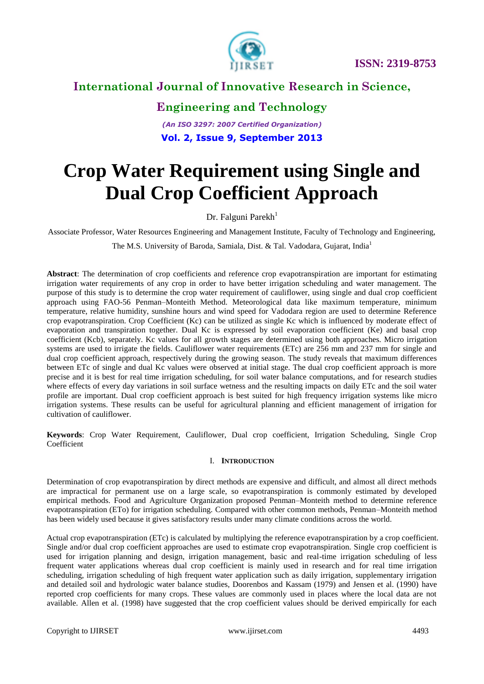

# **International Journal of Innovative Research in Science,**

### **Engineering and Technology**

*(An ISO 3297: 2007 Certified Organization)* **Vol. 2, Issue 9, September 2013**

# **Crop Water Requirement using Single and Dual Crop Coefficient Approach**

Dr. Falguni Parekh<sup>1</sup>

Associate Professor, Water Resources Engineering and Management Institute, Faculty of Technology and Engineering,

The M.S. University of Baroda, Samiala, Dist. & Tal. Vadodara, Gujarat, India<sup>1</sup>

**Abstract**: The determination of crop coefficients and reference crop evapotranspiration are important for estimating irrigation water requirements of any crop in order to have better irrigation scheduling and water management. The purpose of this study is to determine the crop water requirement of cauliflower, using single and dual crop coefficient approach using FAO-56 Penman–Monteith Method. Meteorological data like maximum temperature, minimum temperature, relative humidity, sunshine hours and wind speed for Vadodara region are used to determine Reference crop evapotranspiration. Crop Coefficient (Kc) can be utilized as single Kc which is influenced by moderate effect of evaporation and transpiration together. Dual Kc is expressed by soil evaporation coefficient (Ke) and basal crop coefficient (Kcb), separately. Kc values for all growth stages are determined using both approaches. Micro irrigation systems are used to irrigate the fields. Cauliflower water requirements (ETc) are 256 mm and 237 mm for single and dual crop coefficient approach, respectively during the growing season. The study reveals that maximum differences between ETc of single and dual Kc values were observed at initial stage. The dual crop coefficient approach is more precise and it is best for real time irrigation scheduling, for soil water balance computations, and for research studies where effects of every day variations in soil surface wetness and the resulting impacts on daily ETc and the soil water profile are important. Dual crop coefficient approach is best suited for high frequency irrigation systems like micro irrigation systems. These results can be useful for agricultural planning and efficient management of irrigation for cultivation of cauliflower.

**Keywords**: Crop Water Requirement, Cauliflower, Dual crop coefficient, Irrigation Scheduling, Single Crop Coefficient

#### I. **INTRODUCTION**

Determination of crop evapotranspiration by direct methods are expensive and difficult, and almost all direct methods are impractical for permanent use on a large scale, so evapotranspiration is commonly estimated by developed empirical methods. Food and Agriculture Organization proposed Penman–Monteith method to determine reference evapotranspiration (ETo) for irrigation scheduling. Compared with other common methods, Penman–Monteith method has been widely used because it gives satisfactory results under many climate conditions across the world.

Actual crop evapotranspiration (ETc) is calculated by multiplying the reference evapotranspiration by a crop coefficient. Single and/or dual crop coefficient approaches are used to estimate crop evapotranspiration. Single crop coefficient is used for irrigation planning and design, irrigation management, basic and real-time irrigation scheduling of less frequent water applications whereas dual crop coefficient is mainly used in research and for real time irrigation scheduling, irrigation scheduling of high frequent water application such as daily irrigation, supplementary irrigation and detailed soil and hydrologic water balance studies, Doorenbos and Kassam (1979) and Jensen et al. (1990) have reported crop coefficients for many crops. These values are commonly used in places where the local data are not available. Allen et al. (1998) have suggested that the crop coefficient values should be derived empirically for each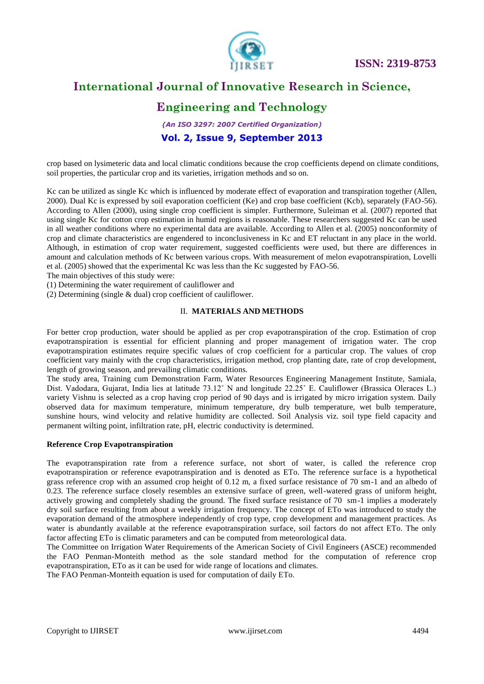

### **International Journal of Innovative Research in Science,**

### **Engineering and Technology**

*(An ISO 3297: 2007 Certified Organization)* **Vol. 2, Issue 9, September 2013**

crop based on lysimeteric data and local climatic conditions because the crop coefficients depend on climate conditions, soil properties, the particular crop and its varieties, irrigation methods and so on.

Kc can be utilized as single Kc which is influenced by moderate effect of evaporation and transpiration together (Allen, 2000). Dual Kc is expressed by soil evaporation coefficient (Ke) and crop base coefficient (Kcb), separately (FAO-56). According to Allen (2000), using single crop coefficient is simpler. Furthermore, Suleiman et al. (2007) reported that using single Kc for cotton crop estimation in humid regions is reasonable. These researchers suggested Kc can be used in all weather conditions where no experimental data are available. According to Allen et al. (2005) nonconformity of crop and climate characteristics are engendered to inconclusiveness in Kc and ET reluctant in any place in the world. Although, in estimation of crop water requirement, suggested coefficients were used, but there are differences in amount and calculation methods of Kc between various crops. With measurement of melon evapotranspiration, Lovelli et al. (2005) showed that the experimental Kc was less than the Kc suggested by FAO-56.

The main objectives of this study were:

(1) Determining the water requirement of cauliflower and

(2) Determining (single & dual) crop coefficient of cauliflower.

#### II. **MATERIALS AND METHODS**

For better crop production, water should be applied as per crop evapotranspiration of the crop. Estimation of crop evapotranspiration is essential for efficient planning and proper management of irrigation water. The crop evapotranspiration estimates require specific values of crop coefficient for a particular crop. The values of crop coefficient vary mainly with the crop characteristics, irrigation method, crop planting date, rate of crop development, length of growing season, and prevailing climatic conditions.

The study area, Training cum Demonstration Farm, Water Resources Engineering Management Institute, Samiala, Dist. Vadodara, Gujarat, India lies at latitude 73.12˚ N and longitude 22.25˚ E. Cauliflower (Brassica Oleraces L.) variety Vishnu is selected as a crop having crop period of 90 days and is irrigated by micro irrigation system. Daily observed data for maximum temperature, minimum temperature, dry bulb temperature, wet bulb temperature, sunshine hours, wind velocity and relative humidity are collected. Soil Analysis viz. soil type field capacity and permanent wilting point, infiltration rate, pH, electric conductivity is determined.

#### **Reference Crop Evapotranspiration**

The evapotranspiration rate from a reference surface, not short of water, is called the reference crop evapotranspiration or reference evapotranspiration and is denoted as ETo. The reference surface is a hypothetical grass reference crop with an assumed crop height of 0.12 m, a fixed surface resistance of 70 sm-1 and an albedo of 0.23. The reference surface closely resembles an extensive surface of green, well-watered grass of uniform height, actively growing and completely shading the ground. The fixed surface resistance of 70 sm-1 implies a moderately dry soil surface resulting from about a weekly irrigation frequency. The concept of ETo was introduced to study the evaporation demand of the atmosphere independently of crop type, crop development and management practices. As water is abundantly available at the reference evapotranspiration surface, soil factors do not affect ETo. The only factor affecting ETo is climatic parameters and can be computed from meteorological data.

The Committee on Irrigation Water Requirements of the American Society of Civil Engineers (ASCE) recommended the FAO Penman-Monteith method as the sole standard method for the computation of reference crop evapotranspiration, ETo as it can be used for wide range of locations and climates.

The FAO Penman-Monteith equation is used for computation of daily ETo.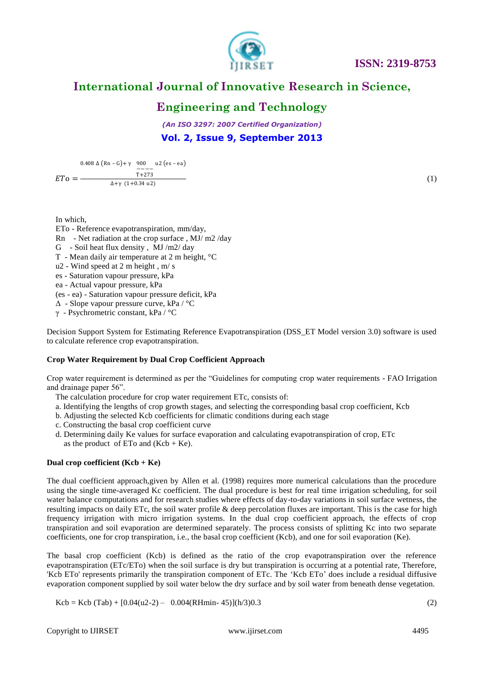

### **International Journal of Innovative Research in Science,**

### **Engineering and Technology**

*(An ISO 3297: 2007 Certified Organization)* **Vol. 2, Issue 9, September 2013**

 $ETo =$ 0.408 Δ  $(Rn - G) + γ$  900 u2  $(es - ea)$ −−−− T+273  $Δ+γ$  (1+0.34 u2)

(1)

In which,

ETo - Reference evapotranspiration, mm/day, Rn - Net radiation at the crop surface , MJ/ m2 /day G - Soil heat flux density , MJ /m2/ day T - Mean daily air temperature at 2 m height, °C u2 - Wind speed at 2 m height , m/ s es - Saturation vapour pressure, kPa ea - Actual vapour pressure, kPa (es - ea) - Saturation vapour pressure deficit, kPa Δ - Slope vapour pressure curve, kPa / °C γ - Psychrometric constant, kPa / °C

Decision Support System for Estimating Reference Evapotranspiration (DSS\_ET Model version 3.0) software is used to calculate reference crop evapotranspiration.

#### **Crop Water Requirement by Dual Crop Coefficient Approach**

Crop water requirement is determined as per the "Guidelines for computing crop water requirements - FAO Irrigation and drainage paper 56".

- The calculation procedure for crop water requirement ETc, consists of:
- a. Identifying the lengths of crop growth stages, and selecting the corresponding basal crop coefficient, Kcb
- b. Adjusting the selected Kcb coefficients for climatic conditions during each stage
- c. Constructing the basal crop coefficient curve
- d. Determining daily Ke values for surface evaporation and calculating evapotranspiration of crop, ETc as the product of ETo and  $(Kcb + Ke)$ .

#### **Dual crop coefficient (Kcb + Ke)**

The dual coefficient approach,given by Allen et al. (1998) requires more numerical calculations than the procedure using the single time-averaged Kc coefficient. The dual procedure is best for real time irrigation scheduling, for soil water balance computations and for research studies where effects of day-to-day variations in soil surface wetness, the resulting impacts on daily ETc, the soil water profile & deep percolation fluxes are important. This is the case for high frequency irrigation with micro irrigation systems. In the dual crop coefficient approach, the effects of crop transpiration and soil evaporation are determined separately. The process consists of splitting Kc into two separate coefficients, one for crop transpiration, i.e., the basal crop coefficient (Kcb), and one for soil evaporation (Ke).

The basal crop coefficient (Kcb) is defined as the ratio of the crop evapotranspiration over the reference evapotranspiration (ETc/ETo) when the soil surface is dry but transpiration is occurring at a potential rate, Therefore, 'Kcb ETo' represents primarily the transpiration component of ETc. The "Kcb ETo" does include a residual diffusive evaporation component supplied by soil water below the dry surface and by soil water from beneath dense vegetation.

 $Kcb = Kcb (Tab) + [0.04(u2-2) - 0.004(RHmin-45)](h/3)0.3$  (2)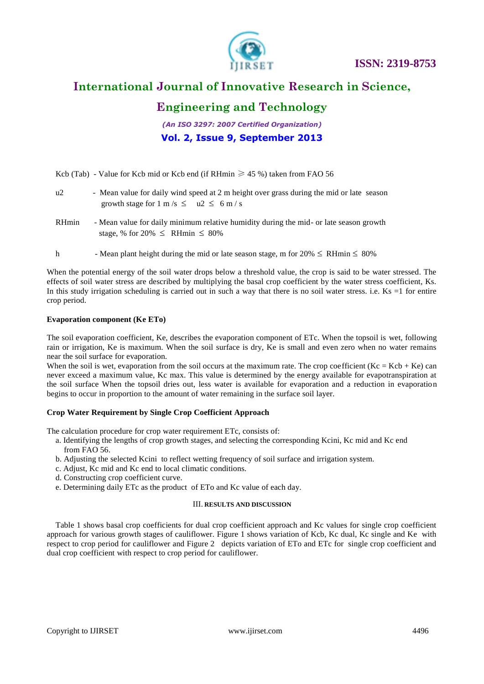

### **International Journal of Innovative Research in Science,**

### **Engineering and Technology**

*(An ISO 3297: 2007 Certified Organization)* **Vol. 2, Issue 9, September 2013**

Kcb (Tab) - Value for Kcb mid or Kcb end (if RHmin  $\geq 45$  %) taken from FAO 56

| u2 | - Mean value for daily wind speed at 2 m height over grass during the mid or late season |
|----|------------------------------------------------------------------------------------------|
|    | growth stage for $1 \text{ m/s} \le u2 \le 6 \text{ m/s}$                                |

- RHmin Mean value for daily minimum relative humidity during the mid- or late season growth stage, % for 20%  $\leq$  RHmin  $\leq$  80%
- h Mean plant height during the mid or late season stage, m for  $20\% \leq \text{RHmin} \leq 80\%$

When the potential energy of the soil water drops below a threshold value, the crop is said to be water stressed. The effects of soil water stress are described by multiplying the basal crop coefficient by the water stress coefficient, Ks. In this study irrigation scheduling is carried out in such a way that there is no soil water stress, i.e.  $Ks = 1$  for entire crop period.

#### **Evaporation component (Ke ETo)**

The soil evaporation coefficient, Ke, describes the evaporation component of ETc. When the topsoil is wet, following rain or irrigation, Ke is maximum. When the soil surface is dry, Ke is small and even zero when no water remains near the soil surface for evaporation.

When the soil is wet, evaporation from the soil occurs at the maximum rate. The crop coefficient  $(Kc = Kcb + Ke)$  can never exceed a maximum value, Kc max. This value is determined by the energy available for evapotranspiration at the soil surface When the topsoil dries out, less water is available for evaporation and a reduction in evaporation begins to occur in proportion to the amount of water remaining in the surface soil layer.

#### **Crop Water Requirement by Single Crop Coefficient Approach**

The calculation procedure for crop water requirement ETc, consists of:

- a. Identifying the lengths of crop growth stages, and selecting the corresponding Kcini, Kc mid and Kc end from FAO 56.
- b. Adjusting the selected Kcini to reflect wetting frequency of soil surface and irrigation system.
- c. Adjust, Kc mid and Kc end to local climatic conditions.
- d. Constructing crop coefficient curve.
- e. Determining daily ETc as the product of ETo and Kc value of each day.

#### III. **RESULTS AND DISCUSSION**

Table 1 shows basal crop coefficients for dual crop coefficient approach and Kc values for single crop coefficient approach for various growth stages of cauliflower. Figure 1 shows variation of Kcb, Kc dual, Kc single and Ke with respect to crop period for cauliflower and Figure 2 depicts variation of ETo and ETc for single crop coefficient and dual crop coefficient with respect to crop period for cauliflower.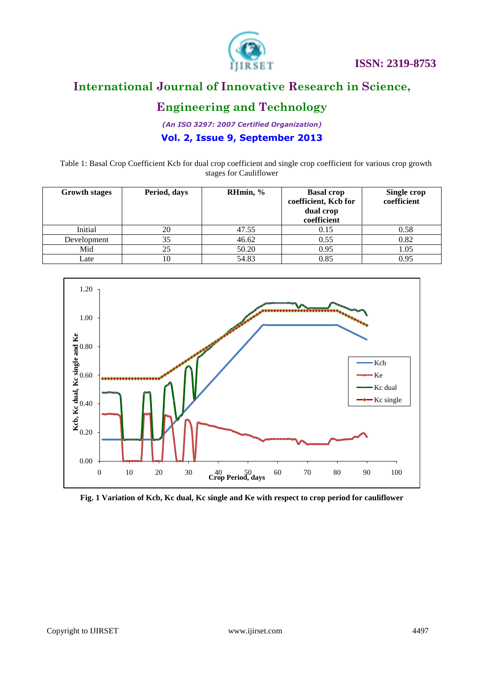

# **International Journal of Innovative Research in Science,**

## **Engineering and Technology**

*(An ISO 3297: 2007 Certified Organization)*

### **Vol. 2, Issue 9, September 2013**

Table 1: Basal Crop Coefficient Kcb for dual crop coefficient and single crop coefficient for various crop growth stages for Cauliflower

| <b>Growth stages</b> | Period, days | RHmin, % | <b>Basal crop</b><br>coefficient, Kcb for<br>dual crop<br>coefficient | Single crop<br>coefficient |
|----------------------|--------------|----------|-----------------------------------------------------------------------|----------------------------|
| Initial              | 20           | 47.55    | 0.15                                                                  | 0.58                       |
| Development          | 35           | 46.62    | 0.55                                                                  | 0.82                       |
| Mid                  | 25           | 50.20    | 0.95                                                                  | 1.05                       |
| Late                 | 10           | 54.83    | 0.85                                                                  | 0.95                       |



**Fig. 1 Variation of Kcb, Kc dual, Kc single and Ke with respect to crop period for cauliflower**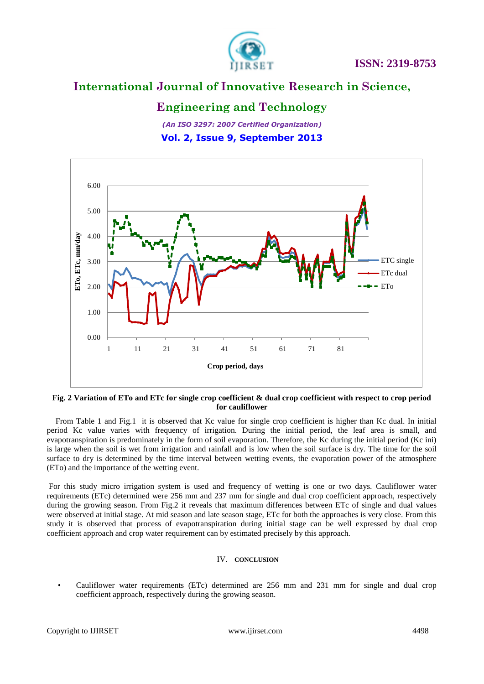

### **International Journal of Innovative Research in Science,**

### **Engineering and Technology**

*(An ISO 3297: 2007 Certified Organization)* **Vol. 2, Issue 9, September 2013**



#### **Fig. 2 Variation of ETo and ETc for single crop coefficient & dual crop coefficient with respect to crop period for cauliflower**

From Table 1 and Fig.1 it is observed that Kc value for single crop coefficient is higher than Kc dual. In initial period Kc value varies with frequency of irrigation. During the initial period, the leaf area is small, and evapotranspiration is predominately in the form of soil evaporation. Therefore, the Kc during the initial period (Kc ini) is large when the soil is wet from irrigation and rainfall and is low when the soil surface is dry. The time for the soil surface to dry is determined by the time interval between wetting events, the evaporation power of the atmosphere (ETo) and the importance of the wetting event.

For this study micro irrigation system is used and frequency of wetting is one or two days. Cauliflower water requirements (ETc) determined were 256 mm and 237 mm for single and dual crop coefficient approach, respectively during the growing season. From Fig.2 it reveals that maximum differences between ETc of single and dual values were observed at initial stage. At mid season and late season stage, ETc for both the approaches is very close. From this study it is observed that process of evapotranspiration during initial stage can be well expressed by dual crop coefficient approach and crop water requirement can by estimated precisely by this approach.

#### IV. **CONCLUSION**

• Cauliflower water requirements (ETc) determined are 256 mm and 231 mm for single and dual crop coefficient approach, respectively during the growing season.